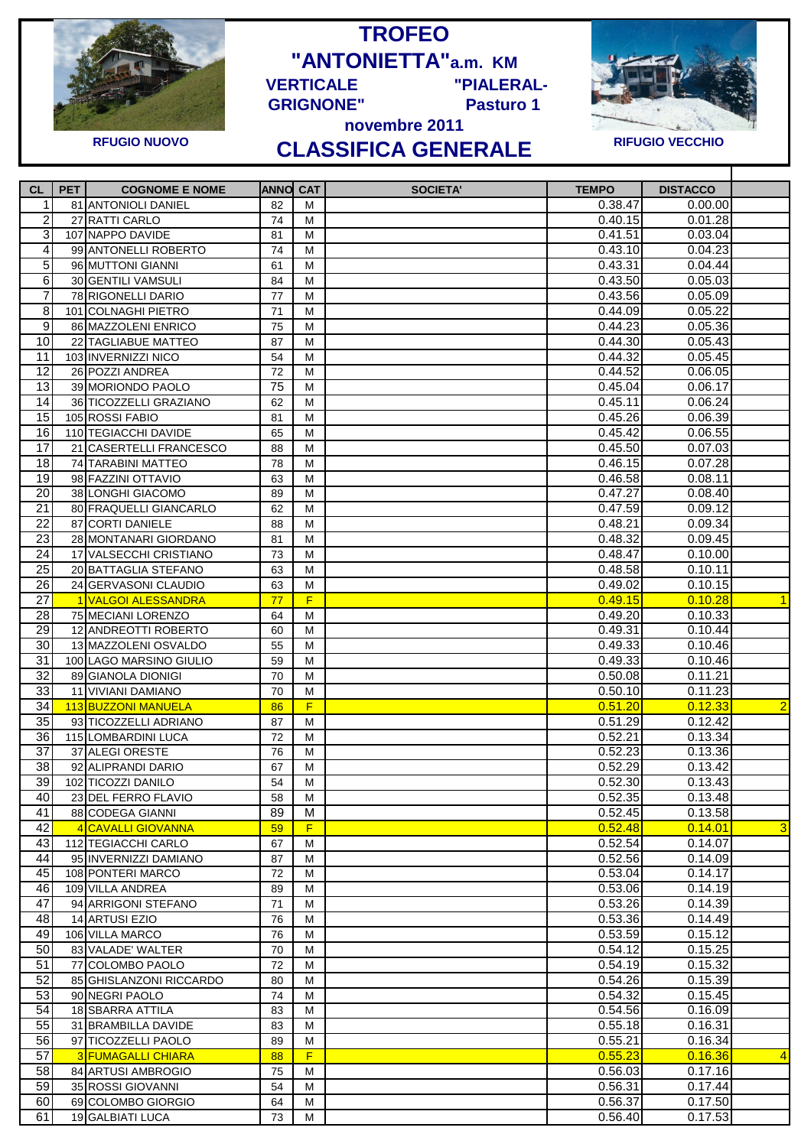

**TROFEO "ANTONIETTA"a.m. KM VERTICALE "PIALERAL-**



## **novembre 2011 CLASSIFICA GENERALE RFUGIO NUOVO RIFUGIO VECCHIO**

**GRIGNONE" Pasturo 1** 

T

| <b>CL</b>       | <b>PET</b> | <b>COGNOME E NOME</b>                       | <b>ANNO CAT</b> |   | <b>TEMPO</b><br><b>SOCIETA'</b> | <b>DISTACCO</b> |                |
|-----------------|------------|---------------------------------------------|-----------------|---|---------------------------------|-----------------|----------------|
| 1               |            | 81 ANTONIOLI DANIEL                         | 82              | м | 0.38.47                         | 0.00.00         |                |
| 2               |            | 27 RATTI CARLO                              | 74              | м | 0.40.15                         | 0.01.28         |                |
| 3               |            | 107 NAPPO DAVIDE                            | 81              | м | 0.41.51                         | 0.03.04         |                |
| 4               |            | 99 ANTONELLI ROBERTO                        | 74              | М | 0.43.10                         | 0.04.23         |                |
| 5               |            | 96 MUTTONI GIANNI                           | 61              | М | 0.43.31                         | 0.04.44         |                |
| 6               |            | 30 GENTILI VAMSULI                          | 84              | м | 0.43.50                         | 0.05.03         |                |
| 7               |            | 78 RIGONELLI DARIO                          | 77              | M | 0.43.56                         | 0.05.09         |                |
| 8               |            | 101 COLNAGHI PIETRO                         | 71              | м | 0.44.09                         | 0.05.22         |                |
| $\overline{9}$  |            | 86 MAZZOLENI ENRICO                         | 75              | м | 0.44.23                         | 0.05.36         |                |
| 10              |            | 22 TAGLIABUE MATTEO                         | 87              | М | 0.44.30                         | 0.05.43         |                |
| 11              |            | 103 INVERNIZZI NICO                         | 54              | M | 0.44.32                         | 0.05.45         |                |
| 12              |            | 26 POZZI ANDREA                             | 72              | М | 0.44.52                         | 0.06.05         |                |
| 13              |            | 39 MORIONDO PAOLO                           | 75              | M | 0.45.04                         | 0.06.17         |                |
| 14              |            | 36 TICOZZELLI GRAZIANO                      | 62              | М | 0.45.11                         | 0.06.24         |                |
| 15              |            |                                             |                 |   |                                 | 0.06.39         |                |
| 16              |            | 105 ROSSI FABIO                             | 81              | м | 0.45.26                         |                 |                |
|                 |            | 110 TEGIACCHI DAVIDE                        | 65              | м | 0.45.42                         | 0.06.55         |                |
| 17              |            | 21 CASERTELLI FRANCESCO                     | 88              | М | 0.45.50                         | 0.07.03         |                |
| 18              |            | 74 TARABINI MATTEO                          | 78              | м | 0.46.15                         | 0.07.28         |                |
| 19              |            | 98 FAZZINI OTTAVIO                          | 63              | М | 0.46.58                         | 0.08.11         |                |
| 20              |            | 38 LONGHI GIACOMO                           | 89              | M | 0.47.27                         | 0.08.40         |                |
| $\overline{21}$ |            | 80 FRAQUELLI GIANCARLO                      | 62              | М | 0.47.59                         | 0.09.12         |                |
| 22              |            | 87 CORTI DANIELE                            | 88              | М | 0.48.21                         | 0.09.34         |                |
| $\overline{23}$ |            | 28 MONTANARI GIORDANO                       | 81              | М | 0.48.32                         | 0.09.45         |                |
| 24              |            | 17 VALSECCHI CRISTIANO                      | 73              | м | 0.48.47                         | 0.10.00         |                |
| 25              |            | 20 BATTAGLIA STEFANO                        | 63              | M | 0.48.58                         | 0.10.11         |                |
| 26              |            | 24 GERVASONI CLAUDIO                        | 63              | м | 0.49.02                         | 0.10.15         |                |
| $\overline{27}$ |            | 1 VALGOI ALESSANDRA                         | 77              | F | 0.49.15                         | 0.10.28         | $\overline{1}$ |
| 28              |            | 75 MECIANI LORENZO                          | 64              | М | 0.49.20                         | 0.10.33         |                |
| 29              |            | 12 ANDREOTTI ROBERTO                        | 60              | м | 0.49.31                         | 0.10.44         |                |
| $\overline{30}$ |            | 13 MAZZOLENI OSVALDO                        | 55              | м | 0.49.33                         | 0.10.46         |                |
| 31              |            | 100 LAGO MARSINO GIULIO                     | 59              | м | 0.49.33                         | 0.10.46         |                |
| $\overline{32}$ |            | 89 GIANOLA DIONIGI                          | 70              | м | 0.50.08                         | 0.11.21         |                |
| 33              |            | 11 VIVIANI DAMIANO                          | 70              | M | 0.50.10                         | 0.11.23         |                |
| 34              |            | 113 BUZZONI MANUELA                         | 86              | F | 0.51.20                         | 0.12.33         | $\overline{2}$ |
| $\overline{35}$ |            | 93 TICOZZELLI ADRIANO                       | 87              | М | 0.51.29                         | 0.12.42         |                |
| 36              |            | 115 LOMBARDINI LUCA                         | 72              | М | 0.52.21                         | 0.13.34         |                |
| $\overline{37}$ |            | 37 ALEGI ORESTE                             | 76              | М | 0.52.23                         | 0.13.36         |                |
| 38              |            | 92 ALIPRANDI DARIO                          | 67              | М | 0.52.29                         | 0.13.42         |                |
| $\overline{39}$ |            | 102 TICOZZI DANILO                          | 54              | М | 0.52.30                         | 0.13.43         |                |
| 40              |            | 23 DEL FERRO FLAVIO                         | 58              | м | 0.52.35                         | 0.13.48         |                |
| 41              |            | 88 CODEGA GIANNI                            | 89              | м | 0.52.45                         | 0.13.58         |                |
| 42              |            | 4 CAVALLI GIOVANNA                          | 59              | F | 0.52.48                         | 0.14.01         | 3              |
| 43              |            | 112 TEGIACCHI CARLO                         | 67              | M | 0.52.54                         | 0.14.07         |                |
| 44              |            | 95 INVERNIZZI DAMIANO                       | 87              | м | 0.52.56                         | 0.14.09         |                |
| 45              |            | 108 PONTERI MARCO                           | 72              | М | 0.53.04                         | 0.14.17         |                |
| 46              |            | 109 VILLA ANDREA                            | 89              | М | 0.53.06                         | 0.14.19         |                |
| 47              |            | 94 ARRIGONI STEFANO                         | 71              | М | 0.53.26                         | 0.14.39         |                |
| 48              |            | 14 ARTUSI EZIO                              | 76              | М | 0.53.36                         | 0.14.49         |                |
| 49              |            | 106 VILLA MARCO                             | 76              | M | 0.53.59                         | 0.15.12         |                |
| 50              |            | 83 VALADE' WALTER                           | 70              | M | 0.54.12                         | 0.15.25         |                |
| 51              |            |                                             |                 |   | 0.54.19                         | 0.15.32         |                |
| 52              |            | 77 COLOMBO PAOLO<br>85 GHISLANZONI RICCARDO | 72              | м | 0.54.26                         |                 |                |
|                 |            |                                             | 80              | м | 0.54.32                         | 0.15.39         |                |
| 53              |            | 90 NEGRI PAOLO                              | 74              | М |                                 | 0.15.45         |                |
| 54              |            | 18 SBARRA ATTILA                            | 83              | M | 0.54.56                         | 0.16.09         |                |
| 55              |            | 31 BRAMBILLA DAVIDE                         | 83              | М | 0.55.18                         | 0.16.31         |                |
| 56              |            | 97 TICOZZELLI PAOLO                         | 89              | M | 0.55.21                         | 0.16.34         |                |
| 57              |            | <b>3 FUMAGALLI CHIARA</b>                   | 88              | F | 0.55.23                         | 0.16.36         | 4              |
| 58              |            | 84 ARTUSI AMBROGIO                          | 75              | M | 0.56.03                         | 0.17.16         |                |
| 59              |            | 35 ROSSI GIOVANNI                           | 54              | м | 0.56.31                         | 0.17.44         |                |
| 60              |            | 69 COLOMBO GIORGIO                          | 64              | М | 0.56.37                         | 0.17.50         |                |
| 61              |            | 19 GALBIATI LUCA                            | 73              | M | 0.56.40                         | 0.17.53         |                |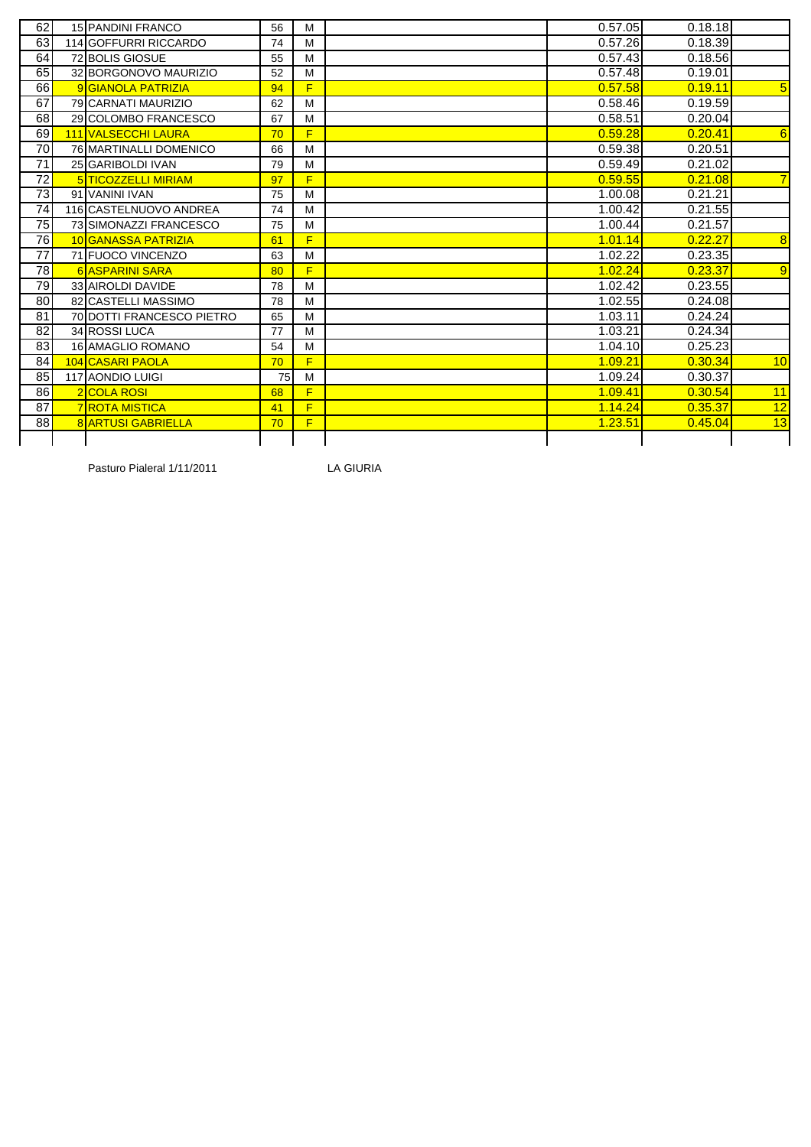| 0.57.05<br>0.18.18<br>62<br><b>15 PANDINI FRANCO</b><br>56<br>M<br>63<br>0.18.39<br>0.57.26<br>114 GOFFURRI RICCARDO<br>74<br>M<br>64<br>0.57.43<br>0.18.56<br>72 BOLIS GIOSUE<br>55<br>M<br>65<br>0.57.48<br>0.19.01<br>32 BORGONOVO MAURIZIO<br>52<br>M<br>66<br>F<br>0.57.58<br>0.19.11<br>$\sqrt{5}$<br>9 GIANOLA PATRIZIA<br>94<br>67<br>0.19.59<br>0.58.46<br>M<br>79 CARNATI MAURIZIO<br>62<br>0.58.51<br>68<br>0.20.04<br>29 COLOMBO FRANCESCO<br>67<br>M<br>0.59.28<br>0.20.41<br>69<br>F<br><b>111 VALSECCHI LAURA</b><br>70<br>70<br>0.59.38<br>0.20.51<br>76 MARTINALLI DOMENICO<br>M<br>66<br>71<br>0.59.49<br>0.21.02<br>25 GARIBOLDI IVAN<br>79<br>M<br>72<br>F<br>0.59.55<br>5 TICOZZELLI MIRIAM<br>0.21.08<br>97<br>$\overline{73}$<br>0.21.21<br>1.00.08<br>91 VANINI IVAN<br>75<br>M<br>74<br>1.00.42<br>0.21.55<br>116 CASTELNUOVO ANDREA<br>74<br>M<br>75<br>1.00.44<br>0.21.57<br>73 SIMONAZZI FRANCESCO<br>75<br>M<br>$\overline{76}$<br>F<br>0.22.27<br>1.01.14<br>10 GANASSA PATRIZIA<br>61<br>77<br>0.23.35<br>1.02.22<br>71 FUOCO VINCENZO<br>M<br>63<br>1.02.24<br>0.23.37<br>78<br>F<br>6 ASPARINI SARA<br>80<br>79<br>1.02.42<br>0.23.55<br>33 AIROLDI DAVIDE<br>78<br>M<br>80<br>1.02.55<br>0.24.08<br>82 CASTELLI MASSIMO<br>78<br>M<br>1.03.11<br>0.24.24<br>81<br><b>70 DOTTI FRANCESCO PIETRO</b><br>65<br>M<br>82<br>34 ROSSI LUCA<br>1.03.21<br>0.24.34<br>77<br>M<br>83<br>1.04.10<br>0.25.23<br>M<br><b>16 AMAGLIO ROMANO</b><br>54<br>F<br>1.09.21<br>0.30.34<br>84<br>104 CASARI PAOLA<br>70<br>85<br>1.09.24<br>0.30.37<br>117 AONDIO LUIGI<br>M<br>75<br>86<br>1.09.41<br>0.30.54<br><b>2</b> COLA ROSI<br>F<br>68<br>87<br>F<br>1.14.24<br>0.35.37<br><b>7 ROTA MISTICA</b><br>41<br>88<br>F<br>1.23.51<br>0.45.04<br><b>8 ARTUSI GABRIELLA</b><br>70 |  |  |  |   |
|---------------------------------------------------------------------------------------------------------------------------------------------------------------------------------------------------------------------------------------------------------------------------------------------------------------------------------------------------------------------------------------------------------------------------------------------------------------------------------------------------------------------------------------------------------------------------------------------------------------------------------------------------------------------------------------------------------------------------------------------------------------------------------------------------------------------------------------------------------------------------------------------------------------------------------------------------------------------------------------------------------------------------------------------------------------------------------------------------------------------------------------------------------------------------------------------------------------------------------------------------------------------------------------------------------------------------------------------------------------------------------------------------------------------------------------------------------------------------------------------------------------------------------------------------------------------------------------------------------------------------------------------------------------------------------------------------------------------------------------------------------------------------------------------------|--|--|--|---|
|                                                                                                                                                                                                                                                                                                                                                                                                                                                                                                                                                                                                                                                                                                                                                                                                                                                                                                                                                                                                                                                                                                                                                                                                                                                                                                                                                                                                                                                                                                                                                                                                                                                                                                                                                                                                   |  |  |  |   |
|                                                                                                                                                                                                                                                                                                                                                                                                                                                                                                                                                                                                                                                                                                                                                                                                                                                                                                                                                                                                                                                                                                                                                                                                                                                                                                                                                                                                                                                                                                                                                                                                                                                                                                                                                                                                   |  |  |  |   |
|                                                                                                                                                                                                                                                                                                                                                                                                                                                                                                                                                                                                                                                                                                                                                                                                                                                                                                                                                                                                                                                                                                                                                                                                                                                                                                                                                                                                                                                                                                                                                                                                                                                                                                                                                                                                   |  |  |  |   |
|                                                                                                                                                                                                                                                                                                                                                                                                                                                                                                                                                                                                                                                                                                                                                                                                                                                                                                                                                                                                                                                                                                                                                                                                                                                                                                                                                                                                                                                                                                                                                                                                                                                                                                                                                                                                   |  |  |  |   |
|                                                                                                                                                                                                                                                                                                                                                                                                                                                                                                                                                                                                                                                                                                                                                                                                                                                                                                                                                                                                                                                                                                                                                                                                                                                                                                                                                                                                                                                                                                                                                                                                                                                                                                                                                                                                   |  |  |  |   |
|                                                                                                                                                                                                                                                                                                                                                                                                                                                                                                                                                                                                                                                                                                                                                                                                                                                                                                                                                                                                                                                                                                                                                                                                                                                                                                                                                                                                                                                                                                                                                                                                                                                                                                                                                                                                   |  |  |  |   |
|                                                                                                                                                                                                                                                                                                                                                                                                                                                                                                                                                                                                                                                                                                                                                                                                                                                                                                                                                                                                                                                                                                                                                                                                                                                                                                                                                                                                                                                                                                                                                                                                                                                                                                                                                                                                   |  |  |  |   |
| $\overline{7}$<br>$\overline{8}$<br>9<br>10<br>11<br>12<br>13                                                                                                                                                                                                                                                                                                                                                                                                                                                                                                                                                                                                                                                                                                                                                                                                                                                                                                                                                                                                                                                                                                                                                                                                                                                                                                                                                                                                                                                                                                                                                                                                                                                                                                                                     |  |  |  | 6 |
|                                                                                                                                                                                                                                                                                                                                                                                                                                                                                                                                                                                                                                                                                                                                                                                                                                                                                                                                                                                                                                                                                                                                                                                                                                                                                                                                                                                                                                                                                                                                                                                                                                                                                                                                                                                                   |  |  |  |   |
|                                                                                                                                                                                                                                                                                                                                                                                                                                                                                                                                                                                                                                                                                                                                                                                                                                                                                                                                                                                                                                                                                                                                                                                                                                                                                                                                                                                                                                                                                                                                                                                                                                                                                                                                                                                                   |  |  |  |   |
|                                                                                                                                                                                                                                                                                                                                                                                                                                                                                                                                                                                                                                                                                                                                                                                                                                                                                                                                                                                                                                                                                                                                                                                                                                                                                                                                                                                                                                                                                                                                                                                                                                                                                                                                                                                                   |  |  |  |   |
|                                                                                                                                                                                                                                                                                                                                                                                                                                                                                                                                                                                                                                                                                                                                                                                                                                                                                                                                                                                                                                                                                                                                                                                                                                                                                                                                                                                                                                                                                                                                                                                                                                                                                                                                                                                                   |  |  |  |   |
|                                                                                                                                                                                                                                                                                                                                                                                                                                                                                                                                                                                                                                                                                                                                                                                                                                                                                                                                                                                                                                                                                                                                                                                                                                                                                                                                                                                                                                                                                                                                                                                                                                                                                                                                                                                                   |  |  |  |   |
|                                                                                                                                                                                                                                                                                                                                                                                                                                                                                                                                                                                                                                                                                                                                                                                                                                                                                                                                                                                                                                                                                                                                                                                                                                                                                                                                                                                                                                                                                                                                                                                                                                                                                                                                                                                                   |  |  |  |   |
|                                                                                                                                                                                                                                                                                                                                                                                                                                                                                                                                                                                                                                                                                                                                                                                                                                                                                                                                                                                                                                                                                                                                                                                                                                                                                                                                                                                                                                                                                                                                                                                                                                                                                                                                                                                                   |  |  |  |   |
|                                                                                                                                                                                                                                                                                                                                                                                                                                                                                                                                                                                                                                                                                                                                                                                                                                                                                                                                                                                                                                                                                                                                                                                                                                                                                                                                                                                                                                                                                                                                                                                                                                                                                                                                                                                                   |  |  |  |   |
|                                                                                                                                                                                                                                                                                                                                                                                                                                                                                                                                                                                                                                                                                                                                                                                                                                                                                                                                                                                                                                                                                                                                                                                                                                                                                                                                                                                                                                                                                                                                                                                                                                                                                                                                                                                                   |  |  |  |   |
|                                                                                                                                                                                                                                                                                                                                                                                                                                                                                                                                                                                                                                                                                                                                                                                                                                                                                                                                                                                                                                                                                                                                                                                                                                                                                                                                                                                                                                                                                                                                                                                                                                                                                                                                                                                                   |  |  |  |   |
|                                                                                                                                                                                                                                                                                                                                                                                                                                                                                                                                                                                                                                                                                                                                                                                                                                                                                                                                                                                                                                                                                                                                                                                                                                                                                                                                                                                                                                                                                                                                                                                                                                                                                                                                                                                                   |  |  |  |   |
|                                                                                                                                                                                                                                                                                                                                                                                                                                                                                                                                                                                                                                                                                                                                                                                                                                                                                                                                                                                                                                                                                                                                                                                                                                                                                                                                                                                                                                                                                                                                                                                                                                                                                                                                                                                                   |  |  |  |   |
|                                                                                                                                                                                                                                                                                                                                                                                                                                                                                                                                                                                                                                                                                                                                                                                                                                                                                                                                                                                                                                                                                                                                                                                                                                                                                                                                                                                                                                                                                                                                                                                                                                                                                                                                                                                                   |  |  |  |   |
|                                                                                                                                                                                                                                                                                                                                                                                                                                                                                                                                                                                                                                                                                                                                                                                                                                                                                                                                                                                                                                                                                                                                                                                                                                                                                                                                                                                                                                                                                                                                                                                                                                                                                                                                                                                                   |  |  |  |   |
|                                                                                                                                                                                                                                                                                                                                                                                                                                                                                                                                                                                                                                                                                                                                                                                                                                                                                                                                                                                                                                                                                                                                                                                                                                                                                                                                                                                                                                                                                                                                                                                                                                                                                                                                                                                                   |  |  |  |   |
|                                                                                                                                                                                                                                                                                                                                                                                                                                                                                                                                                                                                                                                                                                                                                                                                                                                                                                                                                                                                                                                                                                                                                                                                                                                                                                                                                                                                                                                                                                                                                                                                                                                                                                                                                                                                   |  |  |  |   |
|                                                                                                                                                                                                                                                                                                                                                                                                                                                                                                                                                                                                                                                                                                                                                                                                                                                                                                                                                                                                                                                                                                                                                                                                                                                                                                                                                                                                                                                                                                                                                                                                                                                                                                                                                                                                   |  |  |  |   |
|                                                                                                                                                                                                                                                                                                                                                                                                                                                                                                                                                                                                                                                                                                                                                                                                                                                                                                                                                                                                                                                                                                                                                                                                                                                                                                                                                                                                                                                                                                                                                                                                                                                                                                                                                                                                   |  |  |  |   |
|                                                                                                                                                                                                                                                                                                                                                                                                                                                                                                                                                                                                                                                                                                                                                                                                                                                                                                                                                                                                                                                                                                                                                                                                                                                                                                                                                                                                                                                                                                                                                                                                                                                                                                                                                                                                   |  |  |  |   |
|                                                                                                                                                                                                                                                                                                                                                                                                                                                                                                                                                                                                                                                                                                                                                                                                                                                                                                                                                                                                                                                                                                                                                                                                                                                                                                                                                                                                                                                                                                                                                                                                                                                                                                                                                                                                   |  |  |  |   |

Pasturo Pialeral 1/11/2011 LA GIURIA